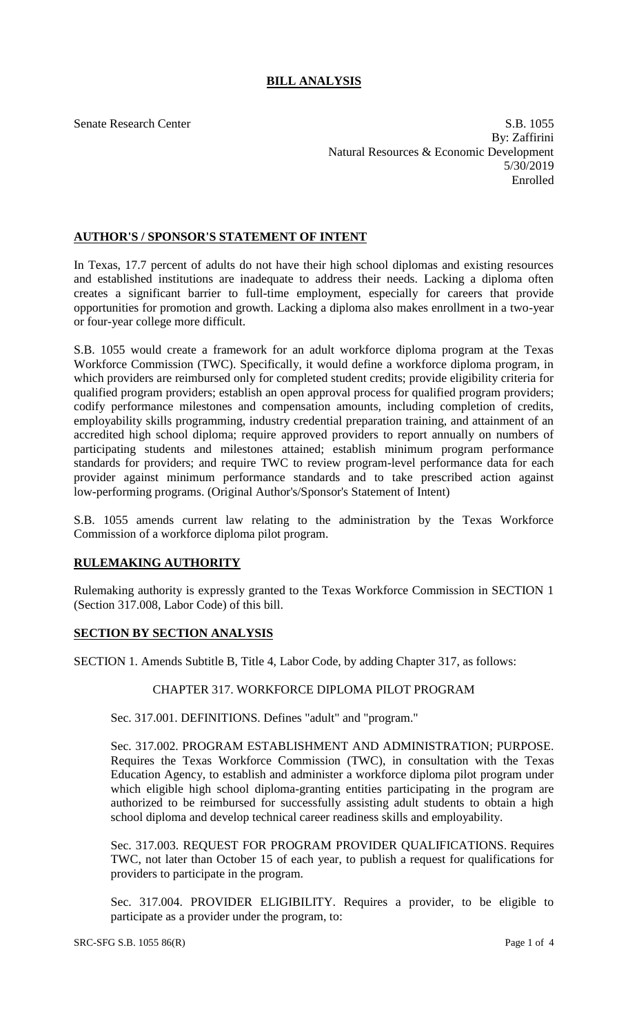# **BILL ANALYSIS**

Senate Research Center S.B. 1055 By: Zaffirini Natural Resources & Economic Development 5/30/2019 Enrolled

## **AUTHOR'S / SPONSOR'S STATEMENT OF INTENT**

In Texas, 17.7 percent of adults do not have their high school diplomas and existing resources and established institutions are inadequate to address their needs. Lacking a diploma often creates a significant barrier to full-time employment, especially for careers that provide opportunities for promotion and growth. Lacking a diploma also makes enrollment in a two-year or four-year college more difficult.

S.B. 1055 would create a framework for an adult workforce diploma program at the Texas Workforce Commission (TWC). Specifically, it would define a workforce diploma program, in which providers are reimbursed only for completed student credits; provide eligibility criteria for qualified program providers; establish an open approval process for qualified program providers; codify performance milestones and compensation amounts, including completion of credits, employability skills programming, industry credential preparation training, and attainment of an accredited high school diploma; require approved providers to report annually on numbers of participating students and milestones attained; establish minimum program performance standards for providers; and require TWC to review program-level performance data for each provider against minimum performance standards and to take prescribed action against low-performing programs. (Original Author's/Sponsor's Statement of Intent)

S.B. 1055 amends current law relating to the administration by the Texas Workforce Commission of a workforce diploma pilot program.

## **RULEMAKING AUTHORITY**

Rulemaking authority is expressly granted to the Texas Workforce Commission in SECTION 1 (Section 317.008, Labor Code) of this bill.

## **SECTION BY SECTION ANALYSIS**

SECTION 1. Amends Subtitle B, Title 4, Labor Code, by adding Chapter 317, as follows:

## CHAPTER 317. WORKFORCE DIPLOMA PILOT PROGRAM

Sec. 317.001. DEFINITIONS. Defines "adult" and "program."

Sec. 317.002. PROGRAM ESTABLISHMENT AND ADMINISTRATION; PURPOSE. Requires the Texas Workforce Commission (TWC), in consultation with the Texas Education Agency, to establish and administer a workforce diploma pilot program under which eligible high school diploma-granting entities participating in the program are authorized to be reimbursed for successfully assisting adult students to obtain a high school diploma and develop technical career readiness skills and employability.

Sec. 317.003. REQUEST FOR PROGRAM PROVIDER QUALIFICATIONS. Requires TWC, not later than October 15 of each year, to publish a request for qualifications for providers to participate in the program.

Sec. 317.004. PROVIDER ELIGIBILITY. Requires a provider, to be eligible to participate as a provider under the program, to: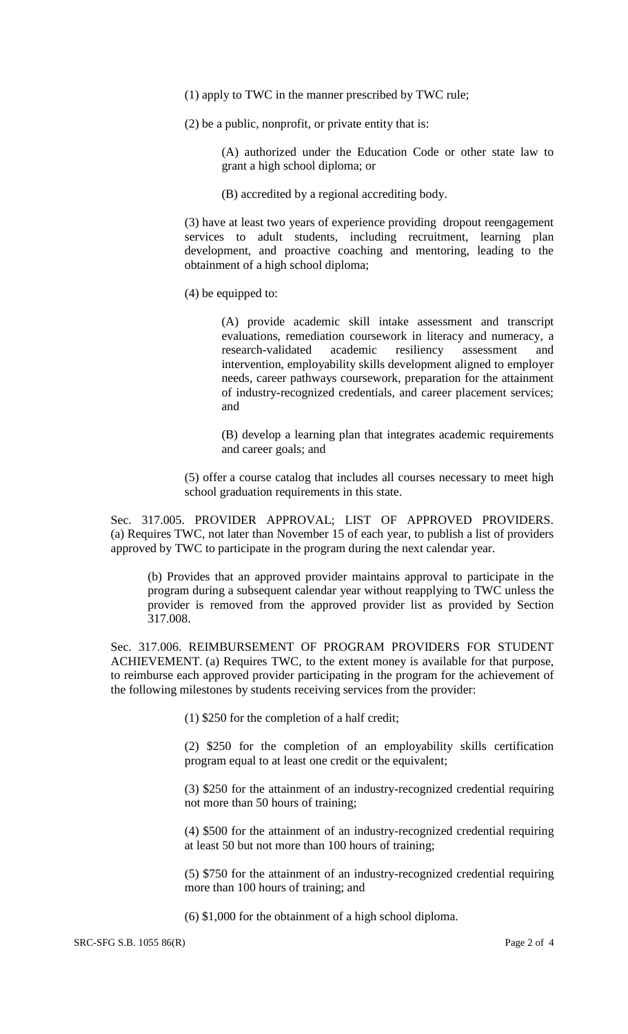- (1) apply to TWC in the manner prescribed by TWC rule;
- (2) be a public, nonprofit, or private entity that is:

(A) authorized under the Education Code or other state law to grant a high school diploma; or

(B) accredited by a regional accrediting body.

(3) have at least two years of experience providing dropout reengagement services to adult students, including recruitment, learning plan development, and proactive coaching and mentoring, leading to the obtainment of a high school diploma;

(4) be equipped to:

(A) provide academic skill intake assessment and transcript evaluations, remediation coursework in literacy and numeracy, a research-validated academic resiliency assessment and intervention, employability skills development aligned to employer needs, career pathways coursework, preparation for the attainment of industry-recognized credentials, and career placement services; and

(B) develop a learning plan that integrates academic requirements and career goals; and

(5) offer a course catalog that includes all courses necessary to meet high school graduation requirements in this state.

Sec. 317.005. PROVIDER APPROVAL; LIST OF APPROVED PROVIDERS. (a) Requires TWC, not later than November 15 of each year, to publish a list of providers approved by TWC to participate in the program during the next calendar year.

(b) Provides that an approved provider maintains approval to participate in the program during a subsequent calendar year without reapplying to TWC unless the provider is removed from the approved provider list as provided by Section 317.008.

Sec. 317.006. REIMBURSEMENT OF PROGRAM PROVIDERS FOR STUDENT ACHIEVEMENT. (a) Requires TWC, to the extent money is available for that purpose, to reimburse each approved provider participating in the program for the achievement of the following milestones by students receiving services from the provider:

(1) \$250 for the completion of a half credit;

(2) \$250 for the completion of an employability skills certification program equal to at least one credit or the equivalent;

(3) \$250 for the attainment of an industry-recognized credential requiring not more than 50 hours of training;

(4) \$500 for the attainment of an industry-recognized credential requiring at least 50 but not more than 100 hours of training;

(5) \$750 for the attainment of an industry-recognized credential requiring more than 100 hours of training; and

(6) \$1,000 for the obtainment of a high school diploma.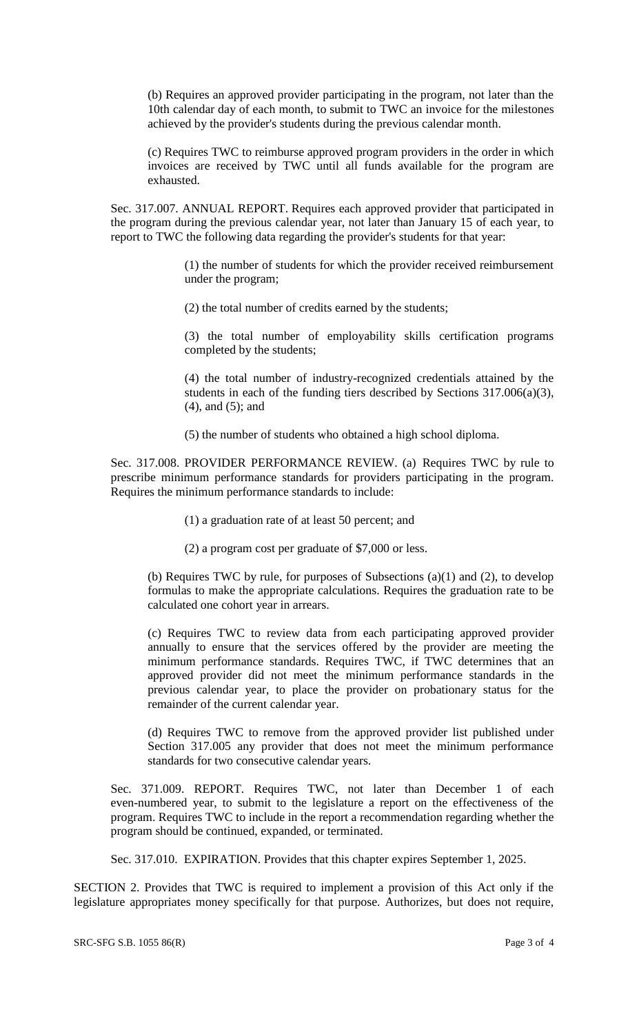(b) Requires an approved provider participating in the program, not later than the 10th calendar day of each month, to submit to TWC an invoice for the milestones achieved by the provider's students during the previous calendar month.

(c) Requires TWC to reimburse approved program providers in the order in which invoices are received by TWC until all funds available for the program are exhausted.

Sec. 317.007. ANNUAL REPORT. Requires each approved provider that participated in the program during the previous calendar year, not later than January 15 of each year, to report to TWC the following data regarding the provider's students for that year:

> (1) the number of students for which the provider received reimbursement under the program;

(2) the total number of credits earned by the students;

(3) the total number of employability skills certification programs completed by the students;

(4) the total number of industry-recognized credentials attained by the students in each of the funding tiers described by Sections 317.006(a)(3), (4), and (5); and

(5) the number of students who obtained a high school diploma.

Sec. 317.008. PROVIDER PERFORMANCE REVIEW. (a) Requires TWC by rule to prescribe minimum performance standards for providers participating in the program. Requires the minimum performance standards to include:

(1) a graduation rate of at least 50 percent; and

(2) a program cost per graduate of \$7,000 or less.

(b) Requires TWC by rule, for purposes of Subsections (a)(1) and (2), to develop formulas to make the appropriate calculations. Requires the graduation rate to be calculated one cohort year in arrears.

(c) Requires TWC to review data from each participating approved provider annually to ensure that the services offered by the provider are meeting the minimum performance standards. Requires TWC, if TWC determines that an approved provider did not meet the minimum performance standards in the previous calendar year, to place the provider on probationary status for the remainder of the current calendar year.

(d) Requires TWC to remove from the approved provider list published under Section 317.005 any provider that does not meet the minimum performance standards for two consecutive calendar years.

Sec. 371.009. REPORT. Requires TWC, not later than December 1 of each even-numbered year, to submit to the legislature a report on the effectiveness of the program. Requires TWC to include in the report a recommendation regarding whether the program should be continued, expanded, or terminated.

Sec. 317.010. EXPIRATION. Provides that this chapter expires September 1, 2025.

SECTION 2. Provides that TWC is required to implement a provision of this Act only if the legislature appropriates money specifically for that purpose. Authorizes, but does not require,